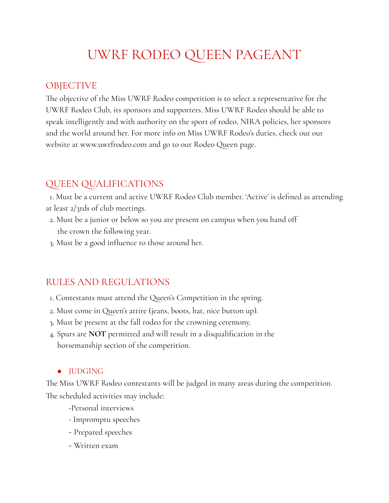# UWRF RODEO QUEEN PAGEANT

## **OBJECTIVE**

The objective of the Miss UWRF Rodeo competition is to select a representative for the UWRF Rodeo Club, its sponsors and supporters. Miss UWRF Rodeo should be able to speak intelligently and with authority on the sport of rodeo, NIRA policies, her sponsors and the world around her. For more info on Miss UWRF Rodeo's duties, check out our website at www.uwrfrodeo.com and go to our Rodeo Queen page.

# QUEEN QUALIFICATIONS

1. Must be a current and active UWRF Rodeo Club member. 'Active' is defined as attending at least 2/3rds of club meetings.

- 2. Must be a junior or below so you are present on campus when you hand off the crown the following year.
- 3. Must be a good influence to those around her.

# RULES AND REGULATIONS

- 1. Contestants must attend the Queen's Competition in the spring.
- 2. Must come in Queen's attire (jeans, boots, hat, nice button up).
- 3. Must be present at the fall rodeo for the crowning ceremony.
- 4. Spurs are **NOT** permitted and will result in a disqualification in the horsemanship section of the competition.

## ● JUDGING

The Miss UWRF Rodeo contestants will be judged in many areas during the competition. The scheduled activities may include:

- -Personal interviews
- Impromptu speeches
- Prepared speeches
- Written exam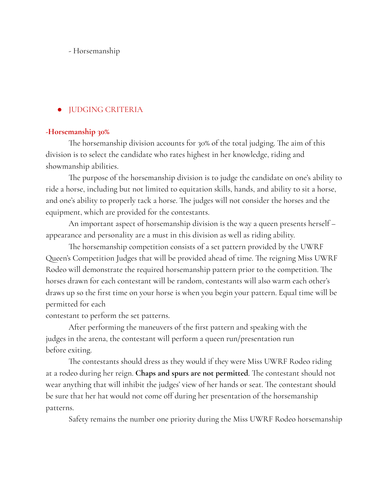- Horsemanship

## **IUDGING CRITERIA**

## **-Horsemanship 30%**

The horsemanship division accounts for 30% of the total judging. The aim of this division is to select the candidate who rates highest in her knowledge, riding and showmanship abilities.

The purpose of the horsemanship division is to judge the candidate on one's ability to ride a horse, including but not limited to equitation skills, hands, and ability to sit a horse, and one's ability to properly tack a horse. The judges will not consider the horses and the equipment, which are provided for the contestants.

An important aspect of horsemanship division is the way a queen presents herself – appearance and personality are a must in this division as well as riding ability.

The horsemanship competition consists of a set pattern provided by the UWRF Queen's Competition Judges that will be provided ahead of time. The reigning Miss UWRF Rodeo will demonstrate the required horsemanship pattern prior to the competition. The horses drawn for each contestant will be random, contestants will also warm each other's draws up so the first time on your horse is when you begin your pattern. Equal time will be permitted for each

contestant to perform the set patterns.

After performing the maneuvers of the first pattern and speaking with the judges in the arena, the contestant will perform a queen run/presentation run before exiting.

The contestants should dress as they would if they were Miss UWRF Rodeo riding at a rodeo during her reign. **Chaps and spurs are not permitted**. The contestant should not wear anything that will inhibit the judges' view of her hands or seat. The contestant should be sure that her hat would not come off during her presentation of the horsemanship patterns.

Safety remains the number one priority during the Miss UWRF Rodeo horsemanship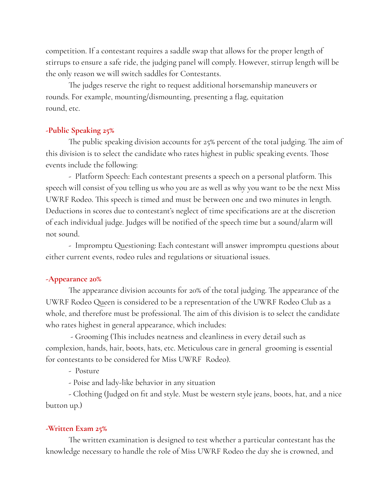competition. If a contestant requires a saddle swap that allows for the proper length of stirrups to ensure a safe ride, the judging panel will comply. However, stirrup length will be the only reason we will switch saddles for Contestants.

The judges reserve the right to request additional horsemanship maneuvers or rounds. For example, mounting/dismounting, presenting a flag, equitation round, etc.

### **-Public Speaking 25%**

The public speaking division accounts for 25% percent of the total judging. The aim of this division is to select the candidate who rates highest in public speaking events. Those events include the following:

- Platform Speech: Each contestant presents a speech on a personal platform. This speech will consist of you telling us who you are as well as why you want to be the next Miss UWRF Rodeo. This speech is timed and must be between one and two minutes in length. Deductions in scores due to contestant's neglect of time specifications are at the discretion of each individual judge. Judges will be notified of the speech time but a sound/alarm will not sound.

- Impromptu Questioning: Each contestant will answer impromptu questions about either current events, rodeo rules and regulations or situational issues.

#### **-Appearance 20%**

The appearance division accounts for 20% of the total judging. The appearance of the UWRF Rodeo Queen is considered to be a representation of the UWRF Rodeo Club as a whole, and therefore must be professional. The aim of this division is to select the candidate who rates highest in general appearance, which includes:

- Grooming (This includes neatness and cleanliness in every detail such as complexion, hands, hair, boots, hats, etc. Meticulous care in general grooming is essential for contestants to be considered for Miss UWRF Rodeo).

- Posture

- Poise and lady-like behavior in any situation

- Clothing (Judged on fit and style. Must be western style jeans, boots, hat, and a nice button up.)

#### **-Written Exam 25%**

The written examination is designed to test whether a particular contestant has the knowledge necessary to handle the role of Miss UWRF Rodeo the day she is crowned, and